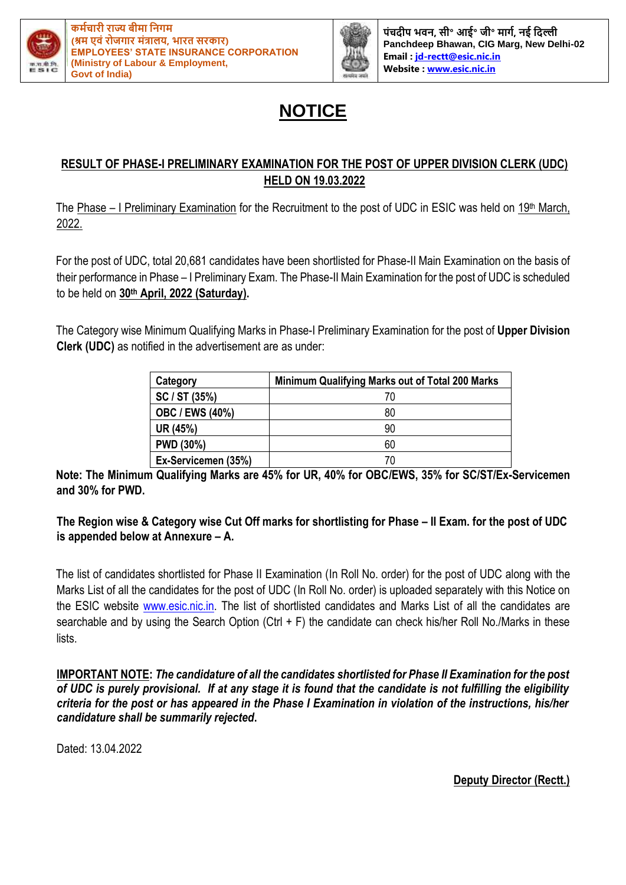



**पंचदीप भवि, सी॰ आई॰ जी॰ र्ागम, िई नदल्ली Panchdeep Bhawan, CIG Marg, New Delhi-02 Email : [jd-rectt@esic.nic.in](mailto:jd-rectt@esic.nic.in) Website [: www.esic.nic.in](http://www.esic.nic.in/)**

## **NOTICE**

## **RESULT OF PHASE-I PRELIMINARY EXAMINATION FOR THE POST OF UPPER DIVISION CLERK (UDC) HELD ON 19.03.2022**

The Phase – I Preliminary Examination for the Recruitment to the post of UDC in ESIC was held on 19<sup>th</sup> March, 2022.

For the post of UDC, total 20,681 candidates have been shortlisted for Phase-II Main Examination on the basis of their performance in Phase – I Preliminary Exam. The Phase-II Main Examination for the post of UDC is scheduled to be held on **30th April, 2022 (Saturday).** 

The Category wise Minimum Qualifying Marks in Phase-I Preliminary Examination for the post of **Upper Division Clerk (UDC)** as notified in the advertisement are as under:

| Category               | Minimum Qualifying Marks out of Total 200 Marks |  |  |  |  |  |
|------------------------|-------------------------------------------------|--|--|--|--|--|
| SC / ST (35%)          | 70                                              |  |  |  |  |  |
| <b>OBC / EWS (40%)</b> | 80                                              |  |  |  |  |  |
| UR (45%)               | 90                                              |  |  |  |  |  |
| <b>PWD (30%)</b>       | 60                                              |  |  |  |  |  |
| Ex-Servicemen (35%)    | 70                                              |  |  |  |  |  |

**Note: The Minimum Qualifying Marks are 45% for UR, 40% for OBC/EWS, 35% for SC/ST/Ex-Servicemen and 30% for PWD.**

**The Region wise & Category wise Cut Off marks for shortlisting for Phase – II Exam. for the post of UDC is appended below at Annexure – A.** 

The list of candidates shortlisted for Phase II Examination (In Roll No. order) for the post of UDC along with the Marks List of all the candidates for the post of UDC (In Roll No. order) is uploaded separately with this Notice on the ESIC website www.esic.nic.in. The list of shortlisted candidates and Marks List of all the candidates are searchable and by using the Search Option (Ctrl + F) the candidate can check his/her Roll No./Marks in these lists.

**IMPORTANT NOTE:** *The candidature of all the candidates shortlisted for Phase II Examination for the post of UDC is purely provisional. If at any stage it is found that the candidate is not fulfilling the eligibility criteria for the post or has appeared in the Phase I Examination in violation of the instructions, his/her candidature shall be summarily rejected***.**

Dated: 13.04.2022

**Deputy Director (Rectt.)**